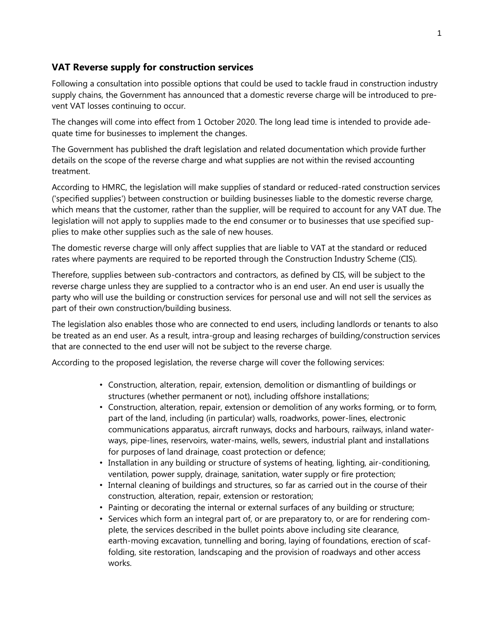## **VAT Reverse supply for construction services**

Following a consultation into possible options that could be used to tackle fraud in construction industry supply chains, the Government has announced that a domestic reverse charge will be introduced to prevent VAT losses continuing to occur.

The changes will come into effect from 1 October 2020. The long lead time is intended to provide adequate time for businesses to implement the changes.

The Government has published the draft legislation and related documentation which provide further details on the scope of the reverse charge and what supplies are not within the revised accounting treatment.

According to HMRC, the legislation will make supplies of standard or reduced-rated construction services ('specified supplies') between construction or building businesses liable to the domestic reverse charge, which means that the customer, rather than the supplier, will be required to account for any VAT due. The legislation will not apply to supplies made to the end consumer or to businesses that use specified supplies to make other supplies such as the sale of new houses.

The domestic reverse charge will only affect supplies that are liable to VAT at the standard or reduced rates where payments are required to be reported through the Construction Industry Scheme (CIS).

Therefore, supplies between sub-contractors and contractors, as defined by CIS, will be subject to the reverse charge unless they are supplied to a contractor who is an end user. An end user is usually the party who will use the building or construction services for personal use and will not sell the services as part of their own construction/building business.

The legislation also enables those who are connected to end users, including landlords or tenants to also be treated as an end user. As a result, intra-group and leasing recharges of building/construction services that are connected to the end user will not be subject to the reverse charge.

According to the proposed legislation, the reverse charge will cover the following services:

- Construction, alteration, repair, extension, demolition or dismantling of buildings or structures (whether permanent or not), including offshore installations;
- Construction, alteration, repair, extension or demolition of any works forming, or to form, part of the land, including (in particular) walls, roadworks, power-lines, electronic communications apparatus, aircraft runways, docks and harbours, railways, inland waterways, pipe-lines, reservoirs, water-mains, wells, sewers, industrial plant and installations for purposes of land drainage, coast protection or defence;
- Installation in any building or structure of systems of heating, lighting, air-conditioning, ventilation, power supply, drainage, sanitation, water supply or fire protection;
- Internal cleaning of buildings and structures, so far as carried out in the course of their construction, alteration, repair, extension or restoration;
- Painting or decorating the internal or external surfaces of any building or structure;
- Services which form an integral part of, or are preparatory to, or are for rendering complete, the services described in the bullet points above including site clearance, earth-moving excavation, tunnelling and boring, laying of foundations, erection of scaffolding, site restoration, landscaping and the provision of roadways and other access works.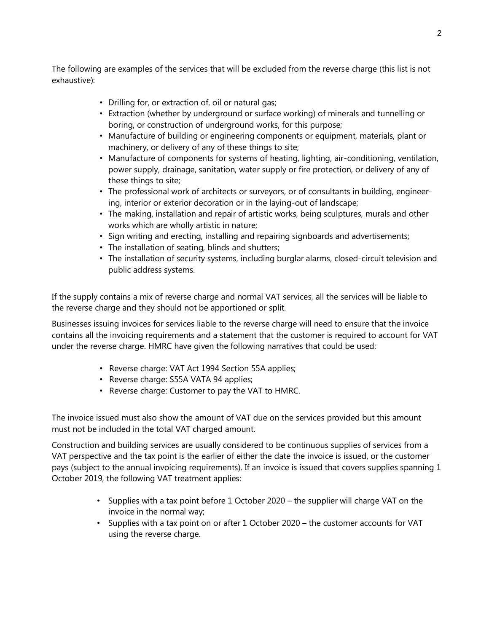The following are examples of the services that will be excluded from the reverse charge (this list is not exhaustive):

- Drilling for, or extraction of, oil or natural gas;
- Extraction (whether by underground or surface working) of minerals and tunnelling or boring, or construction of underground works, for this purpose;
- Manufacture of building or engineering components or equipment, materials, plant or machinery, or delivery of any of these things to site;
- Manufacture of components for systems of heating, lighting, air-conditioning, ventilation, power supply, drainage, sanitation, water supply or fire protection, or delivery of any of these things to site;
- The professional work of architects or surveyors, or of consultants in building, engineering, interior or exterior decoration or in the laying-out of landscape;
- The making, installation and repair of artistic works, being sculptures, murals and other works which are wholly artistic in nature;
- Sign writing and erecting, installing and repairing signboards and advertisements;
- The installation of seating, blinds and shutters;
- The installation of security systems, including burglar alarms, closed-circuit television and public address systems.

If the supply contains a mix of reverse charge and normal VAT services, all the services will be liable to the reverse charge and they should not be apportioned or split.

Businesses issuing invoices for services liable to the reverse charge will need to ensure that the invoice contains all the invoicing requirements and a statement that the customer is required to account for VAT under the reverse charge. HMRC have given the following narratives that could be used:

- Reverse charge: VAT Act 1994 Section 55A applies;
- Reverse charge: S55A VATA 94 applies;
- Reverse charge: Customer to pay the VAT to HMRC.

The invoice issued must also show the amount of VAT due on the services provided but this amount must not be included in the total VAT charged amount.

Construction and building services are usually considered to be continuous supplies of services from a VAT perspective and the tax point is the earlier of either the date the invoice is issued, or the customer pays (subject to the annual invoicing requirements). If an invoice is issued that covers supplies spanning 1 October 2019, the following VAT treatment applies:

- Supplies with a tax point before 1 October 2020 the supplier will charge VAT on the invoice in the normal way;
- Supplies with a tax point on or after 1 October 2020 the customer accounts for VAT using the reverse charge.